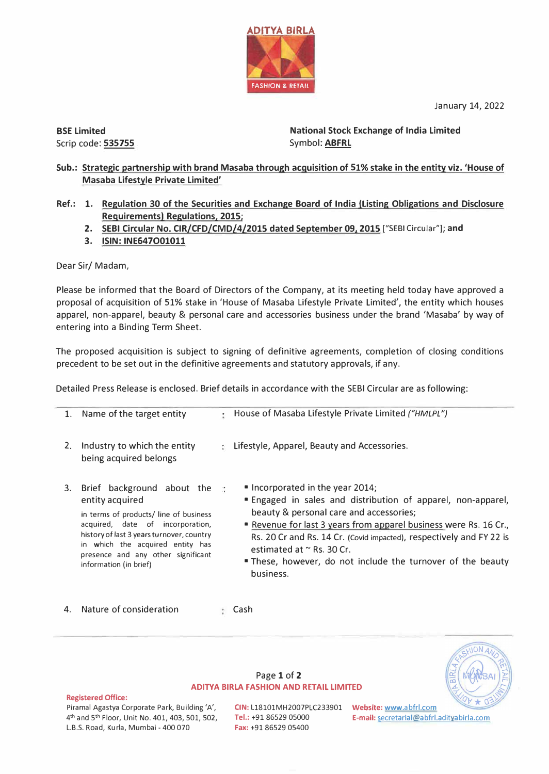January 14, 2022

BSE Limited Scrip code: 535755 National Stock Exchange of India Limited Symbol: **ABFRL** 

Sub.: Strategic partnership with brand Masaba through acquisition of 51% stake in the entity viz. 'House of Masaba Lifestyle Private Limited'

**ADITYA BIRLA** 

**FASHION & RETAIL** 

- **Ref.: 1. Regulation 30 of the Securities and Exchange Board of India (Listing Obligations and Disclosure Requirements) Regulations, 2015;** 
	- **2. SEBI Circular No. CIR/CFD/CMD/4/2015 dated September 09, 2015** ["SEBI Circular"); **and**
	- **3. ISIN: INE647O01011**

Dear Sir/ Madam,

Please be informed that the Board of Directors of the Company, at its meeting held today have approved a proposal of acquisition of 51% stake in 'House of Masaba Lifestyle Private limited', the entity which houses apparel, non-apparel, beauty & personal care and accessories business under the brand 'Masaba' by way of entering into a Binding Term Sheet.

The proposed acquisition is subject to signing of definitive agreements, completion of closing conditions precedent to be set out in the definitive agreements and statutory approvals, if any.

Detailed Press Release is enclosed. Brief details in accordance with the SEBI Circular are as following:

| 1. | Name of the target entity                                                                                                                                                                                                                                                                     | ٠. | House of Masaba Lifestyle Private Limited ("HMLPL")                                                                                                                                                                                                                                                                                                                                                                      |
|----|-----------------------------------------------------------------------------------------------------------------------------------------------------------------------------------------------------------------------------------------------------------------------------------------------|----|--------------------------------------------------------------------------------------------------------------------------------------------------------------------------------------------------------------------------------------------------------------------------------------------------------------------------------------------------------------------------------------------------------------------------|
| 2. | Industry to which the entity<br>being acquired belongs                                                                                                                                                                                                                                        |    | : Lifestyle, Apparel, Beauty and Accessories.                                                                                                                                                                                                                                                                                                                                                                            |
|    | 3. Brief background about the $\frac{1}{4}$<br>entity acquired<br>in terms of products/ line of business<br>acquired, date of incorporation,<br>history of last 3 years turnover, country<br>in which the acquired entity has<br>presence and any other significant<br>information (in brief) |    | $\blacksquare$ Incorporated in the year 2014;<br>" Engaged in sales and distribution of apparel, non-apparel,<br>beauty & personal care and accessories;<br><b>Revenue for last 3 years from apparel business were Rs. 16 Cr.,</b><br>Rs. 20 Cr and Rs. 14 Cr. (Covid impacted), respectively and FY 22 is<br>estimated at $\sim$ Rs. 30 Cr.<br>. These, however, do not include the turnover of the beauty<br>business. |

4. Nature of consideration Cash



### Page 1 of 2 **ADITYA BIRLA FASHION AND RETAIL LIMITED**

### **Registered Office:**

Piramal Agastya Corporate Park, Building 'A', 4 th and 5 th Floor, Unit No. 401, 403, 501, 502, L.B.S. Road, Kurla, Mumbai - 400 070

**CIN:** L18101MH2007PLC233901 **Website:** www.abfrl.com **Fax:** +91 86529 05400

**Tel.:** +91 86529 05000 **E-mail:** secretarial@abfrl.adityabirla.com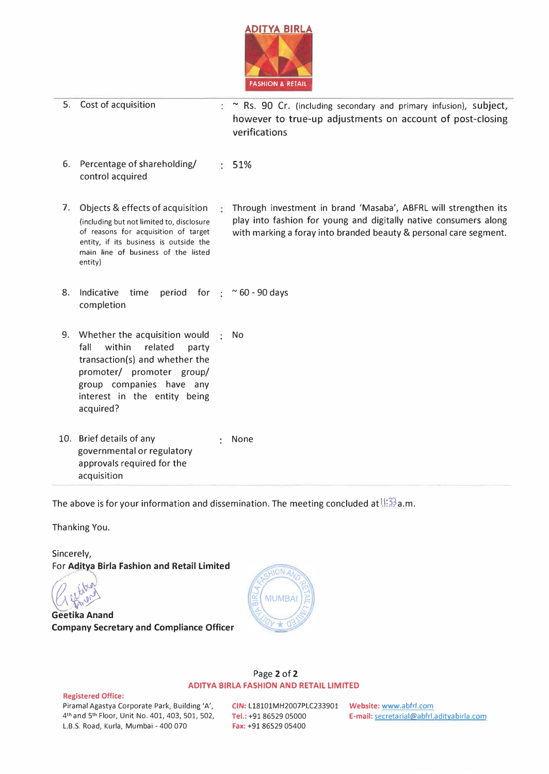

 $\therefore$   $\sim$  Rs. 90 Cr. (including secondary and primary infusion), subject, however to true-up adjustments on account of post-closing

verifications 6. Percentage of shareholding/ 51% control acquired 7. .Objects & effects of acquisition (including but not limited to, disclosure of reasons for acquisition of target entity, if its business is outside the main line of business of the listed entity) 8. Indicative time period for  $\frac{1}{2}$  ~60 -90 days completion Through investment in brand 'Masaba', ABFRL will strengthen its play into fashion for young and digitally native consumers along with marking a foray into branded beauty & personal care segment. 9. Whether the acquisition would  $\frac{1}{2}$  No fall within related party transaction(s) and whether the promoter/ promoter group/ group companies have any interest in the entity being acquired? 10. Brief details of any the state of the None governmental or regulatory approvals required for the acquisition

The above is for your information and dissemination. The meeting concluded at  $\frac{1!}{1!}\frac{20}{12}$ a.m.

Thanking You.

5. Cost of acquisition

Sincerely,

For **Aditya Birla Fashion and Retail Limited** �,� **Geetika Anand Company Secretary and Compliance Officer** 



## Page 2 of 2 **ADITYA BIRLA FASHION AND RETAIL LIMITED**

### **Registered Office:**

Piramal Agastya Corporate Park, Building 'A', 4 **th** and 5 **th** Floor, Unit No. 401, 403, 501, 502, L.B.S. Road, Kurla, Mumbai - 400 070

**CIN:** L18101MH2007PLC233901 **Website:** www.abfrl.com **Fax:** +91 86529 05400

Tel.: +91 86529 05000 **E-mail:** secretarial@abfrl.adityabirla.com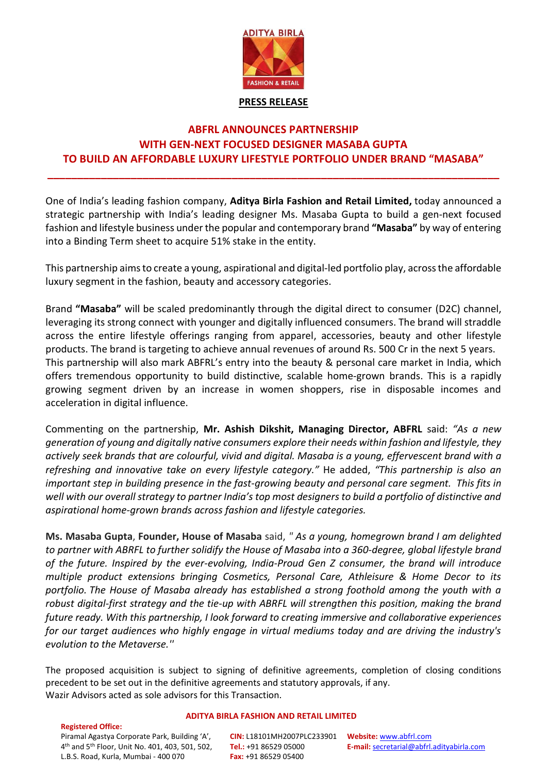

# **PRESS RELEASE**

# **ABFRL ANNOUNCES PARTNERSHIP WITH GEN-NEXT FOCUSED DESIGNER MASABA GUPTA TO BUILD AN AFFORDABLE LUXURY LIFESTYLE PORTFOLIO UNDER BRAND "MASABA"**

**\_\_\_\_\_\_\_\_\_\_\_\_\_\_\_\_\_\_\_\_\_\_\_\_\_\_\_\_\_\_\_\_\_\_\_\_\_\_\_\_\_\_\_\_\_\_\_\_\_\_\_\_\_\_\_\_\_\_\_\_\_\_\_\_\_\_\_\_\_\_\_\_\_\_\_\_**

One of India's leading fashion company, **Aditya Birla Fashion and Retail Limited,** today announced a strategic partnership with India's leading designer Ms. Masaba Gupta to build a gen-next focused fashion and lifestyle business under the popular and contemporary brand **"Masaba"** by way of entering into a Binding Term sheet to acquire 51% stake in the entity.

This partnership aims to create a young, aspirational and digital-led portfolio play, across the affordable luxury segment in the fashion, beauty and accessory categories.

Brand **"Masaba"** will be scaled predominantly through the digital direct to consumer (D2C) channel, leveraging its strong connect with younger and digitally influenced consumers. The brand will straddle across the entire lifestyle offerings ranging from apparel, accessories, beauty and other lifestyle products. The brand is targeting to achieve annual revenues of around Rs. 500 Cr in the next 5 years. This partnership will also mark ABFRL's entry into the beauty & personal care market in India, which offers tremendous opportunity to build distinctive, scalable home-grown brands. This is a rapidly growing segment driven by an increase in women shoppers, rise in disposable incomes and acceleration in digital influence.

Commenting on the partnership, **Mr. Ashish Dikshit, Managing Director, ABFRL** said: *"As a new generation of young and digitally native consumers explore their needs within fashion and lifestyle, they actively seek brands that are colourful, vivid and digital. Masaba is a young, effervescent brand with a refreshing and innovative take on every lifestyle category."* He added, *"This partnership is also an important step in building presence in the fast-growing beauty and personal care segment. This fits in well with our overall strategy to partner India's top most designers to build a portfolio of distinctive and aspirational home-grown brands across fashion and lifestyle categories.* 

**Ms. Masaba Gupta**, **Founder, House of Masaba** said, *" As a young, homegrown brand I am delighted to partner with ABRFL to further solidify the House of Masaba into a 360-degree, global lifestyle brand of the future. Inspired by the ever-evolving, India-Proud Gen Z consumer, the brand will introduce multiple product extensions bringing Cosmetics, Personal Care, Athleisure & Home Decor to its portfolio. The House of Masaba already has established a strong foothold among the youth with a robust digital-first strategy and the tie-up with ABRFL will strengthen this position, making the brand future ready. With this partnership, I look forward to creating immersive and collaborative experiences for our target audiences who highly engage in virtual mediums today and are driving the industry's evolution to the Metaverse.''*

The proposed acquisition is subject to signing of definitive agreements, completion of closing conditions precedent to be set out in the definitive agreements and statutory approvals, if any. Wazir Advisors acted as sole advisors for this Transaction.

## **ADITYA BIRLA FASHION AND RETAIL LIMITED**

**Registered Office:**  Piramal Agastya Corporate Park, Building 'A', 4 th and 5th Floor, Unit No. 401, 403, 501, 502, L.B.S. Road, Kurla, Mumbai - 400 070

**CIN:** L18101MH2007PLC233901 **Tel.:** +91 86529 05000 **Fax:** +91 86529 05400

**Website:** [www.abfrl.com](http://www.abfrl.com/) **E-mail:** [secretarial@abfrl.adityabirla.com](mailto:secretarial@abfrl.adityabirla.com)